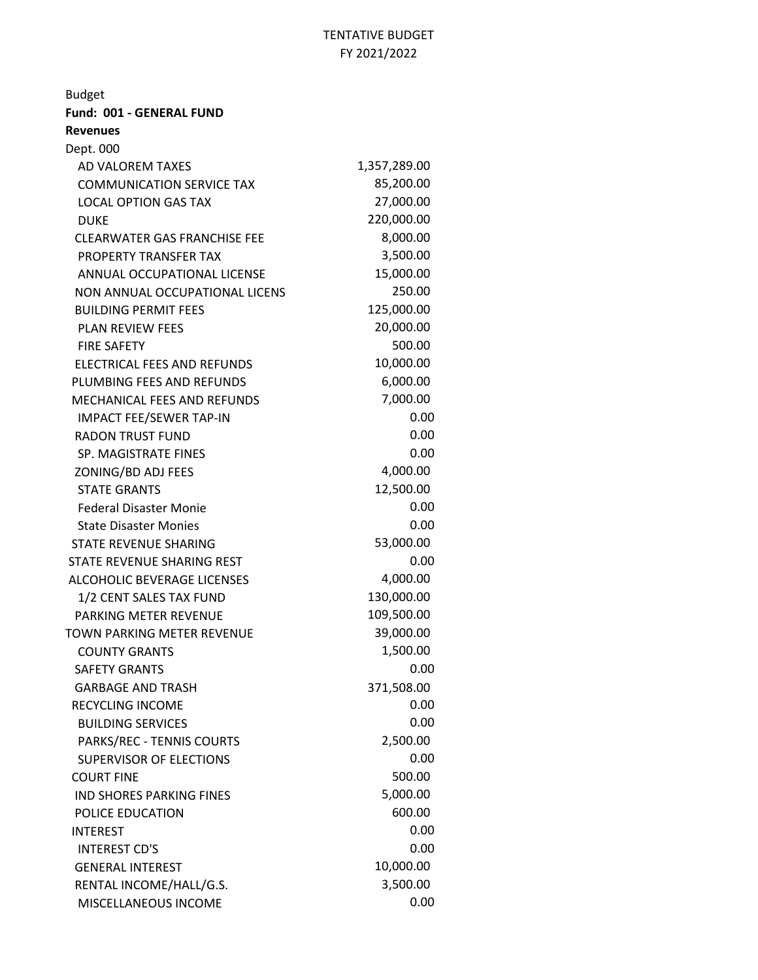| <b>Budget</b>                       |              |
|-------------------------------------|--------------|
| Fund: 001 - GENERAL FUND            |              |
| <b>Revenues</b>                     |              |
| Dept. 000                           |              |
| AD VALOREM TAXES                    | 1,357,289.00 |
| <b>COMMUNICATION SERVICE TAX</b>    | 85,200.00    |
| <b>LOCAL OPTION GAS TAX</b>         | 27,000.00    |
| <b>DUKE</b>                         | 220,000.00   |
| <b>CLEARWATER GAS FRANCHISE FEE</b> | 8,000.00     |
| <b>PROPERTY TRANSFER TAX</b>        | 3,500.00     |
| ANNUAL OCCUPATIONAL LICENSE         | 15,000.00    |
| NON ANNUAL OCCUPATIONAL LICENS      | 250.00       |
| <b>BUILDING PERMIT FEES</b>         | 125,000.00   |
| <b>PLAN REVIEW FEES</b>             | 20,000.00    |
| <b>FIRE SAFETY</b>                  | 500.00       |
| ELECTRICAL FEES AND REFUNDS         | 10,000.00    |
| PLUMBING FEES AND REFUNDS           | 6,000.00     |
| <b>MECHANICAL FEES AND REFUNDS</b>  | 7,000.00     |
| <b>IMPACT FEE/SEWER TAP-IN</b>      | 0.00         |
| <b>RADON TRUST FUND</b>             | 0.00         |
| SP. MAGISTRATE FINES                | 0.00         |
| ZONING/BD ADJ FEES                  | 4,000.00     |
| <b>STATE GRANTS</b>                 | 12,500.00    |
| <b>Federal Disaster Monie</b>       | 0.00         |
| <b>State Disaster Monies</b>        | 0.00         |
| STATE REVENUE SHARING               | 53,000.00    |
| STATE REVENUE SHARING REST          | 0.00         |
| <b>ALCOHOLIC BEVERAGE LICENSES</b>  | 4,000.00     |
| 1/2 CENT SALES TAX FUND             | 130,000.00   |
| PARKING METER REVENUE               | 109,500.00   |
| TOWN PARKING METER REVENUE          | 39,000.00    |
| <b>COUNTY GRANTS</b>                | 1,500.00     |
| <b>SAFETY GRANTS</b>                | 0.00         |
| <b>GARBAGE AND TRASH</b>            | 371,508.00   |
| <b>RECYCLING INCOME</b>             | 0.00         |
| <b>BUILDING SERVICES</b>            | 0.00         |
| PARKS/REC - TENNIS COURTS           | 2,500.00     |
| <b>SUPERVISOR OF ELECTIONS</b>      | 0.00         |
| <b>COURT FINE</b>                   | 500.00       |
| <b>IND SHORES PARKING FINES</b>     | 5,000.00     |
| POLICE EDUCATION                    | 600.00       |
| <b>INTEREST</b>                     | 0.00         |
| <b>INTEREST CD'S</b>                | 0.00         |
| <b>GENERAL INTEREST</b>             | 10,000.00    |
| RENTAL INCOME/HALL/G.S.             | 3,500.00     |
| MISCELLANEOUS INCOME                | 0.00         |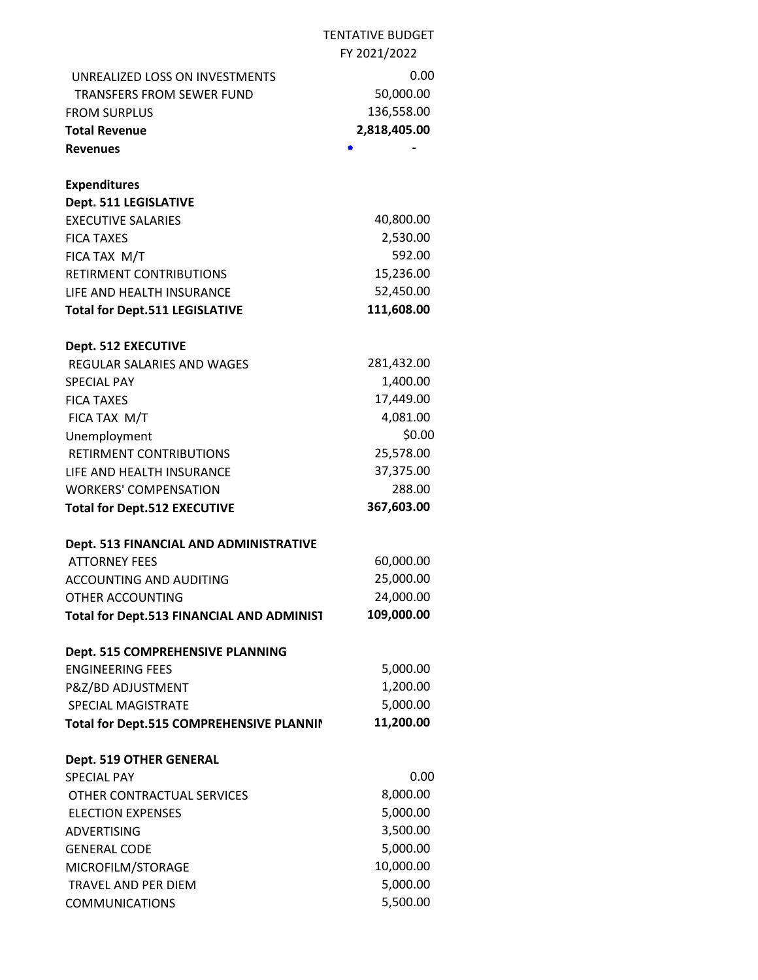|                                           | <b>TENTATIVE BUDGET</b> |
|-------------------------------------------|-------------------------|
|                                           | FY 2021/2022            |
| <b>UNREALIZED LOSS ON INVESTMENTS</b>     | 0.00                    |
| <b>TRANSFERS FROM SEWER FUND</b>          | 50,000.00               |
| <b>FROM SURPLUS</b>                       | 136,558.00              |
| <b>Total Revenue</b>                      | 2,818,405.00            |
| <b>Revenues</b>                           |                         |
|                                           |                         |
| <b>Expenditures</b>                       |                         |
| Dept. 511 LEGISLATIVE                     |                         |
| <b>EXECUTIVE SALARIES</b>                 | 40,800.00               |
| <b>FICA TAXES</b>                         | 2,530.00                |
| FICA TAX M/T                              | 592.00                  |
| RETIRMENT CONTRIBUTIONS                   | 15,236.00               |
| LIFE AND HEALTH INSURANCE                 | 52,450.00               |
| <b>Total for Dept.511 LEGISLATIVE</b>     | 111,608.00              |
|                                           |                         |
| Dept. 512 EXECUTIVE                       |                         |
| REGULAR SALARIES AND WAGES                | 281,432.00              |
| <b>SPECIAL PAY</b>                        | 1,400.00                |
| <b>FICA TAXES</b>                         | 17,449.00               |
| FICA TAX M/T                              | 4,081.00                |
| Unemployment                              | \$0.00                  |
| RETIRMENT CONTRIBUTIONS                   | 25,578.00               |
| LIFE AND HEALTH INSURANCE                 | 37,375.00               |
| <b>WORKERS' COMPENSATION</b>              | 288.00                  |
| <b>Total for Dept.512 EXECUTIVE</b>       | 367,603.00              |
|                                           |                         |
| Dept. 513 FINANCIAL AND ADMINISTRATIVE    |                         |
| <b>ATTORNEY FEES</b>                      | 60,000.00               |
| ACCOUNTING AND AUDITING                   | 25,000.00               |
| OTHER ACCOUNTING                          | 24,000.00<br>109,000.00 |
| Total for Dept.513 FINANCIAL AND ADMINIST |                         |
| Dept. 515 COMPREHENSIVE PLANNING          |                         |
| <b>ENGINEERING FEES</b>                   | 5,000.00                |
| P&Z/BD ADJUSTMENT                         | 1,200.00                |
| SPECIAL MAGISTRATE                        | 5,000.00                |
| Total for Dept.515 COMPREHENSIVE PLANNII  | 11,200.00               |
|                                           |                         |
| Dept. 519 OTHER GENERAL                   |                         |
| <b>SPECIAL PAY</b>                        | 0.00                    |
| OTHER CONTRACTUAL SERVICES                | 8,000.00                |
| <b>ELECTION EXPENSES</b>                  | 5,000.00                |
| <b>ADVERTISING</b>                        | 3,500.00                |
| <b>GENERAL CODE</b>                       | 5,000.00                |
| MICROFILM/STORAGE                         | 10,000.00               |
| <b>TRAVEL AND PER DIEM</b>                | 5,000.00                |
| <b>COMMUNICATIONS</b>                     | 5,500.00                |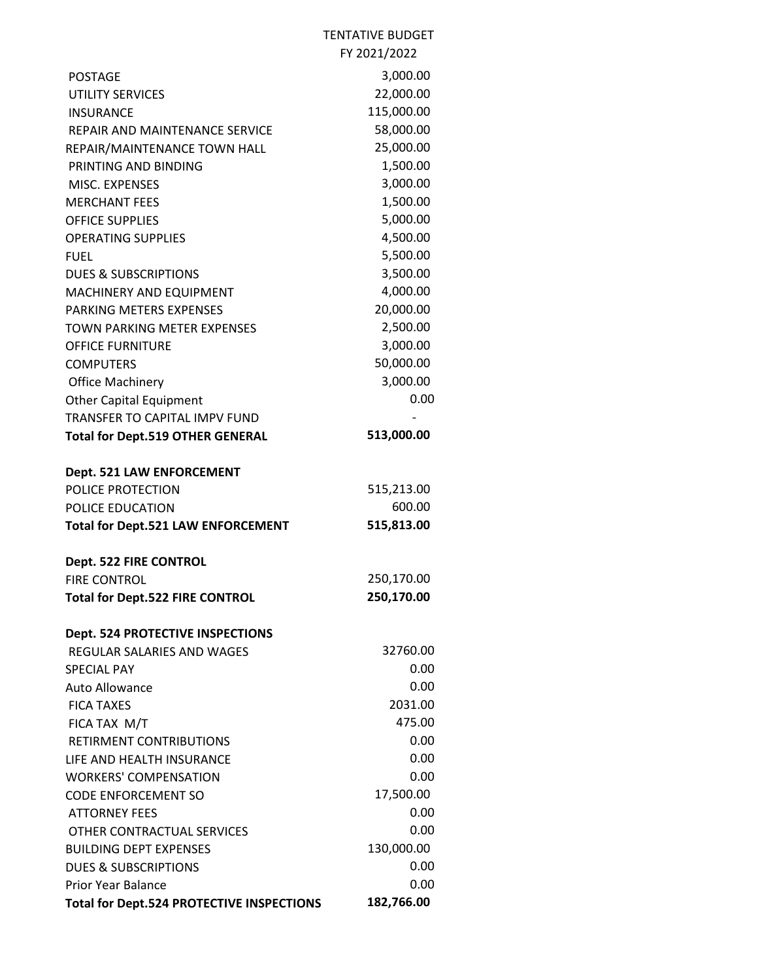## TENTATIVE BUDGET FY 2021/2022

| <b>POSTAGE</b>                            | 3,000.00   |
|-------------------------------------------|------------|
| <b>UTILITY SERVICES</b>                   | 22,000.00  |
| <b>INSURANCE</b>                          | 115,000.00 |
| REPAIR AND MAINTENANCE SERVICE            | 58,000.00  |
| REPAIR/MAINTENANCE TOWN HALL              | 25,000.00  |
| PRINTING AND BINDING                      | 1,500.00   |
| MISC. EXPENSES                            | 3,000.00   |
| <b>MERCHANT FEES</b>                      | 1,500.00   |
| <b>OFFICE SUPPLIES</b>                    | 5,000.00   |
| <b>OPERATING SUPPLIES</b>                 | 4,500.00   |
| FUEL                                      | 5,500.00   |
| <b>DUES &amp; SUBSCRIPTIONS</b>           | 3,500.00   |
| MACHINERY AND EQUIPMENT                   | 4,000.00   |
| PARKING METERS EXPENSES                   | 20,000.00  |
| TOWN PARKING METER EXPENSES               | 2,500.00   |
| <b>OFFICE FURNITURE</b>                   | 3,000.00   |
| <b>COMPUTERS</b>                          | 50,000.00  |
| <b>Office Machinery</b>                   | 3,000.00   |
| <b>Other Capital Equipment</b>            | 0.00       |
| TRANSFER TO CAPITAL IMPV FUND             |            |
| <b>Total for Dept.519 OTHER GENERAL</b>   | 513,000.00 |
| Dept. 521 LAW ENFORCEMENT                 |            |
| POLICE PROTECTION                         | 515,213.00 |
| POLICE EDUCATION                          | 600.00     |
| <b>Total for Dept.521 LAW ENFORCEMENT</b> | 515,813.00 |
| Dept. 522 FIRE CONTROL                    |            |
| <b>FIRE CONTROL</b>                       | 250,170.00 |
| <b>Total for Dept.522 FIRE CONTROL</b>    | 250,170.00 |
| <b>Dept. 524 PROTECTIVE INSPECTIONS</b>   |            |
| REGULAR SALARIES AND WAGES                | 32760.00   |
| SPECIAL PAY                               | 0.00       |
| Auto Allowance                            | 0.00       |
| <b>FICA TAXES</b>                         | 2031.00    |
| FICA TAX M/T                              | 475.00     |
| <b>RETIRMENT CONTRIBUTIONS</b>            | 0.00       |
| LIFE AND HEALTH INSURANCE                 | 0.00       |
| <b>WORKERS' COMPENSATION</b>              | 0.00       |
| CODE ENFORCEMENT SO                       | 17,500.00  |
| <b>ATTORNEY FEES</b>                      | 0.00       |
| OTHER CONTRACTUAL SERVICES                | 0.00       |
| <b>BUILDING DEPT EXPENSES</b>             | 130,000.00 |
| <b>DUES &amp; SUBSCRIPTIONS</b>           | 0.00       |
| Prior Year Balance                        | 0.00       |
| Total for Dept.524 PROTECTIVE INSPECTIONS | 182,766.00 |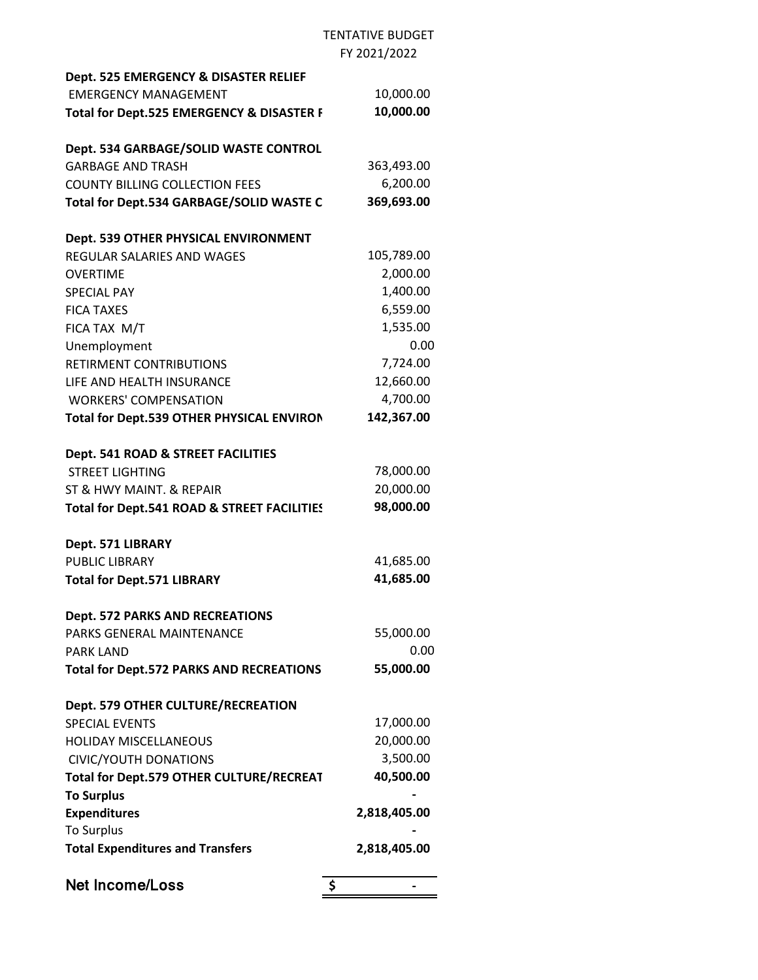## TENTATIVE BUDGET FY 2021/2022

| Dept. 525 EMERGENCY & DISASTER RELIEF           |              |
|-------------------------------------------------|--------------|
| <b>EMERGENCY MANAGEMENT</b>                     | 10,000.00    |
| Total for Dept.525 EMERGENCY & DISASTER F       | 10,000.00    |
| Dept. 534 GARBAGE/SOLID WASTE CONTROL           |              |
| <b>GARBAGE AND TRASH</b>                        | 363,493.00   |
| <b>COUNTY BILLING COLLECTION FEES</b>           | 6,200.00     |
| Total for Dept.534 GARBAGE/SOLID WASTE C        | 369,693.00   |
| Dept. 539 OTHER PHYSICAL ENVIRONMENT            |              |
| REGULAR SALARIES AND WAGES                      | 105,789.00   |
| <b>OVERTIME</b>                                 | 2,000.00     |
| <b>SPECIAL PAY</b>                              | 1,400.00     |
| <b>FICA TAXES</b>                               | 6,559.00     |
| FICA TAX M/T                                    | 1,535.00     |
| Unemployment                                    | 0.00         |
| RETIRMENT CONTRIBUTIONS                         | 7,724.00     |
| LIFE AND HEALTH INSURANCE                       | 12,660.00    |
| <b>WORKERS' COMPENSATION</b>                    | 4,700.00     |
| Total for Dept.539 OTHER PHYSICAL ENVIRON       | 142,367.00   |
| Dept. 541 ROAD & STREET FACILITIES              |              |
| <b>STREET LIGHTING</b>                          | 78,000.00    |
| ST & HWY MAINT. & REPAIR                        | 20,000.00    |
| Total for Dept.541 ROAD & STREET FACILITIES     | 98,000.00    |
| Dept. 571 LIBRARY                               |              |
| <b>PUBLIC LIBRARY</b>                           | 41,685.00    |
| <b>Total for Dept.571 LIBRARY</b>               | 41,685.00    |
| <b>Dept. 572 PARKS AND RECREATIONS</b>          |              |
| <b>PARKS GENERAL MAINTENANCE</b>                | 55,000.00    |
| <b>PARK LAND</b>                                | 0.00         |
| <b>Total for Dept.572 PARKS AND RECREATIONS</b> | 55,000.00    |
| Dept. 579 OTHER CULTURE/RECREATION              |              |
| <b>SPECIAL EVENTS</b>                           | 17,000.00    |
| <b>HOLIDAY MISCELLANEOUS</b>                    | 20,000.00    |
| <b>CIVIC/YOUTH DONATIONS</b>                    | 3,500.00     |
| Total for Dept.579 OTHER CULTURE/RECREAT        | 40,500.00    |
| <b>To Surplus</b>                               |              |
| <b>Expenditures</b>                             | 2,818,405.00 |
| <b>To Surplus</b>                               |              |
| <b>Total Expenditures and Transfers</b>         | 2,818,405.00 |
| Net Income/Loss                                 | \$           |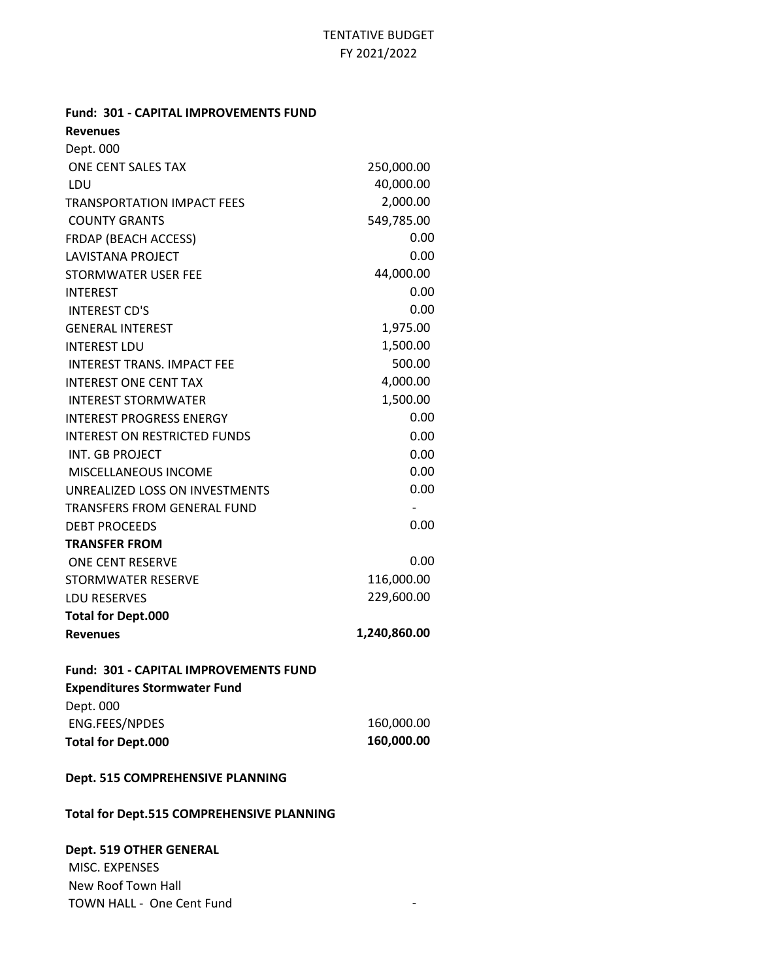**Fund: 301 - CAPITAL IMPROVEMENTS FUND**

| <b>Revenues</b>                     |              |
|-------------------------------------|--------------|
| Dept. 000                           |              |
| ONE CENT SALES TAX                  | 250,000.00   |
| LDU                                 | 40,000.00    |
| <b>TRANSPORTATION IMPACT FEES</b>   | 2,000.00     |
| <b>COUNTY GRANTS</b>                | 549,785.00   |
| <b>FRDAP (BEACH ACCESS)</b>         | 0.00         |
| <b>LAVISTANA PROJECT</b>            | 0.00         |
| STORMWATER USER FEE                 | 44,000.00    |
| <b>INTEREST</b>                     | 0.00         |
| <b>INTEREST CD'S</b>                | 0.00         |
| <b>GENERAL INTEREST</b>             | 1,975.00     |
| <b>INTEREST LDU</b>                 | 1,500.00     |
| <b>INTEREST TRANS, IMPACT FEE</b>   | 500.00       |
| <b>INTEREST ONE CENT TAX</b>        | 4,000.00     |
| <b>INTEREST STORMWATER</b>          | 1,500.00     |
| <b>INTEREST PROGRESS ENERGY</b>     | 0.00         |
| <b>INTEREST ON RESTRICTED FUNDS</b> | 0.00         |
| INT. GB PROJECT                     | 0.00         |
| MISCELLANEOUS INCOME                | 0.00         |
| UNREALIZED LOSS ON INVESTMENTS      | 0.00         |
| TRANSFERS FROM GENERAL FUND         |              |
| <b>DEBT PROCEEDS</b>                | 0.00         |
| <b>TRANSFER FROM</b>                |              |
| <b>ONE CENT RESERVE</b>             | 0.00         |
| STORMWATER RESERVE                  | 116,000.00   |
| <b>LDU RESERVES</b>                 | 229,600.00   |
| <b>Total for Dept.000</b>           |              |
| <b>Revenues</b>                     | 1,240,860.00 |

## **Fund: 301 - CAPITAL IMPROVEMENTS FUND Expenditures Stormwater Fund** Dept. 000 ENG.FEES/NPDES 160,000.00 **Total for Dept.000 160,000.00**

#### **Dept. 515 COMPREHENSIVE PLANNING**

#### **Total for Dept.515 COMPREHENSIVE PLANNING**

**Dept. 519 OTHER GENERAL**

 MISC. EXPENSES New Roof Town Hall TOWN HALL - One Cent Fund TOWN HALL - One Cent Fund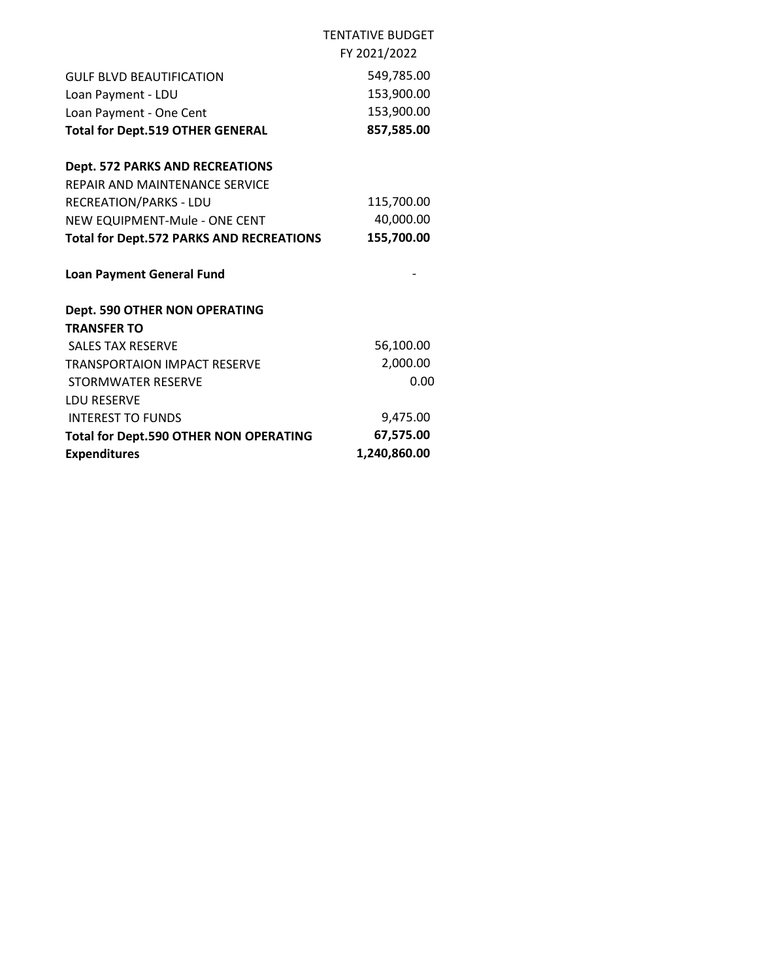|                                                 | <b>TENTATIVE BUDGET</b> |
|-------------------------------------------------|-------------------------|
|                                                 | FY 2021/2022            |
| GULF BLVD BEAUTIFICATION                        | 549,785.00              |
| Loan Payment - LDU                              | 153,900.00              |
| Loan Payment - One Cent                         | 153,900.00              |
| <b>Total for Dept.519 OTHER GENERAL</b>         | 857,585.00              |
| <b>Dept. 572 PARKS AND RECREATIONS</b>          |                         |
| REPAIR AND MAINTENANCE SERVICE                  |                         |
| <b>RECREATION/PARKS - LDU</b>                   | 115,700.00              |
| NEW EQUIPMENT-Mule - ONE CENT                   | 40,000.00               |
| <b>Total for Dept.572 PARKS AND RECREATIONS</b> | 155,700.00              |
| <b>Loan Payment General Fund</b>                |                         |
| <b>Dept. 590 OTHER NON OPERATING</b>            |                         |
| <b>TRANSFER TO</b>                              |                         |
| <b>SALES TAX RESERVE</b>                        | 56,100.00               |
| <b>TRANSPORTAION IMPACT RESERVE</b>             | 2,000.00                |
| STORMWATER RESERVE                              | 0.00                    |
| <b>LDU RESERVE</b>                              |                         |
| <b>INTEREST TO FUNDS</b>                        | 9,475.00                |
| <b>Total for Dept.590 OTHER NON OPERATING</b>   | 67,575.00               |
| <b>Expenditures</b>                             | 1,240,860.00            |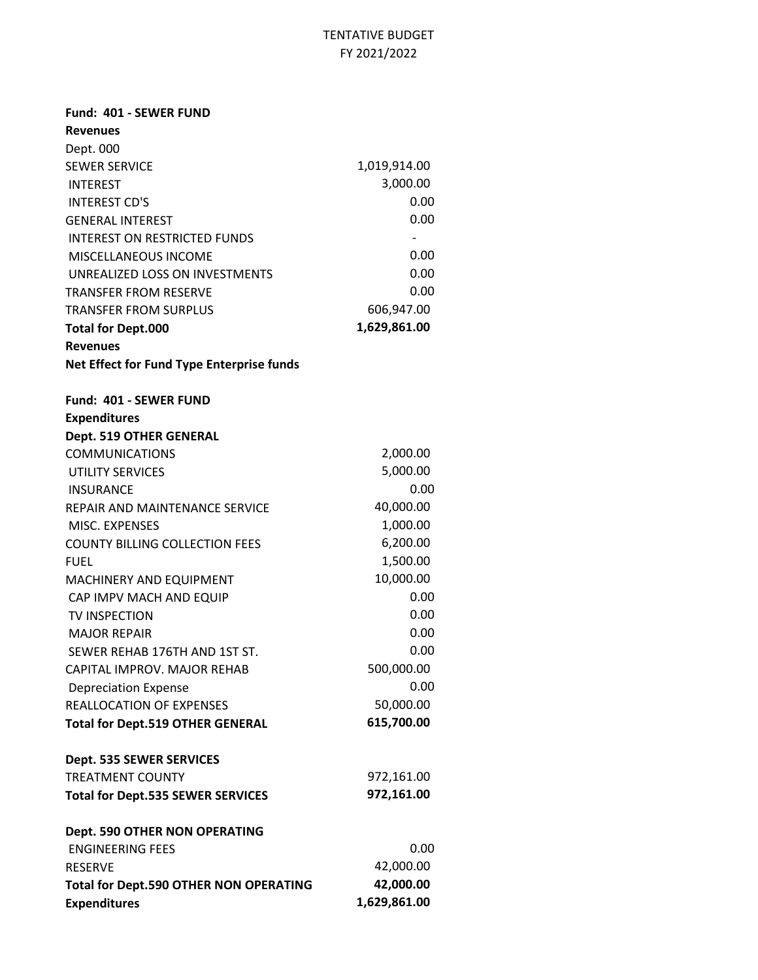| Fund: 401 - SEWER FUND                           |                          |
|--------------------------------------------------|--------------------------|
| <b>Revenues</b>                                  |                          |
| Dept. 000                                        |                          |
| <b>SEWER SERVICE</b>                             | 1,019,914.00             |
| <b>INTEREST</b>                                  | 3,000.00                 |
| <b>INTEREST CD'S</b>                             | 0.00                     |
| <b>GENERAL INTEREST</b>                          | 0.00                     |
| <b>INTEREST ON RESTRICTED FUNDS</b>              | $\overline{\phantom{a}}$ |
| MISCELLANEOUS INCOME                             | 0.00                     |
| UNREALIZED LOSS ON INVESTMENTS                   | 0.00                     |
| <b>TRANSFER FROM RESERVE</b>                     | 0.00                     |
| <b>TRANSFER FROM SURPLUS</b>                     | 606,947.00               |
| <b>Total for Dept.000</b>                        | 1,629,861.00             |
| <b>Revenues</b>                                  |                          |
| <b>Net Effect for Fund Type Enterprise funds</b> |                          |
| Fund: 401 - SEWER FUND                           |                          |
| <b>Expenditures</b>                              |                          |
| Dept. 519 OTHER GENERAL                          |                          |
| <b>COMMUNICATIONS</b>                            | 2,000.00                 |
| <b>UTILITY SERVICES</b>                          | 5,000.00                 |
| <b>INSURANCE</b>                                 | 0.00                     |
| REPAIR AND MAINTENANCE SERVICE                   | 40,000.00                |
| MISC. EXPENSES                                   | 1,000.00                 |
| <b>COUNTY BILLING COLLECTION FEES</b>            | 6,200.00                 |
| <b>FUEL</b>                                      | 1,500.00                 |
| MACHINERY AND EQUIPMENT                          | 10,000.00                |
| CAP IMPV MACH AND EQUIP                          | 0.00                     |
| TV INSPECTION                                    | 0.00                     |
| <b>MAJOR REPAIR</b>                              | 0.00                     |
| SEWER REHAB 176TH AND 1ST ST.                    | 0.00                     |
| CAPITAL IMPROV. MAJOR REHAB                      | 500,000.00               |
| <b>Depreciation Expense</b>                      | 0.00                     |
| <b>REALLOCATION OF EXPENSES</b>                  | 50,000.00                |
| <b>Total for Dept.519 OTHER GENERAL</b>          | 615,700.00               |
| Dept. 535 SEWER SERVICES                         |                          |
| <b>TREATMENT COUNTY</b>                          | 972,161.00               |
| <b>Total for Dept.535 SEWER SERVICES</b>         | 972,161.00               |
| <b>Dept. 590 OTHER NON OPERATING</b>             |                          |
| <b>ENGINEERING FEES</b>                          | 0.00                     |
| <b>RESERVE</b>                                   | 42,000.00                |
| <b>Total for Dept.590 OTHER NON OPERATING</b>    | 42,000.00                |
| <b>Expenditures</b>                              | 1,629,861.00             |